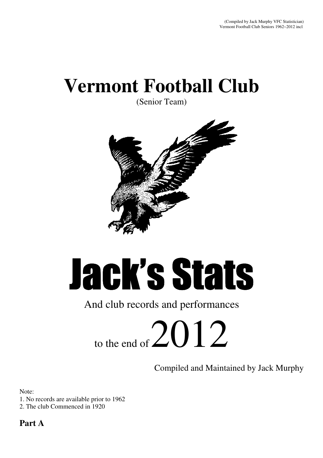# **Vermont Football Club**

(Senior Team)



# Jack's Stats Jack's

# And club records and performances

to the end of  $2012$ 

Compiled and Maintained by Jack Murphy

Note:

1. No records are available prior to 1962

2. The club Commenced in 1920

**Part A**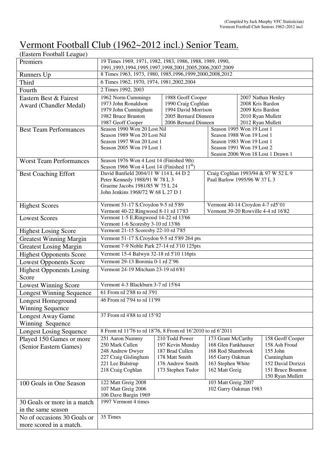# Vermont Football Club (1962~2012 incl.) Senior Team.

| (Eastern Football League)       |                                                                             |                                                                                                                              |                                                        |                   |                                     |  |  |  |
|---------------------------------|-----------------------------------------------------------------------------|------------------------------------------------------------------------------------------------------------------------------|--------------------------------------------------------|-------------------|-------------------------------------|--|--|--|
| Premiers                        |                                                                             | 19 Times 1969, 1971, 1982, 1983, 1986, 1988, 1989, 1990,<br>1991, 1993, 1994, 1995, 1997, 1998, 2001, 2005, 2006, 2007, 2009 |                                                        |                   |                                     |  |  |  |
| Runners Up                      |                                                                             | 8 Times 1963, 1973, 1980, 1985, 1996, 1999, 2000, 2008, 2012                                                                 |                                                        |                   |                                     |  |  |  |
| Third                           |                                                                             | 6 Times 1962, 1970, 1974, 1981, 2002, 2004                                                                                   |                                                        |                   |                                     |  |  |  |
| Fourth                          | 2 Times 1992, 2003                                                          |                                                                                                                              |                                                        |                   |                                     |  |  |  |
| Eastern Best & Fairest          | 1962 Norm Cummings                                                          | 1988 Geoff Cooper                                                                                                            |                                                        |                   | 2007 Nathan Henley                  |  |  |  |
|                                 | 1973 John Ronaldson                                                         | 1990 Craig Coghlan                                                                                                           |                                                        | 2008 Kris Bardon  |                                     |  |  |  |
| Award (Chandler Medal)          | 1979 John Cunningham                                                        | 1994 David Morrison                                                                                                          |                                                        | 2009 Kris Bardon  |                                     |  |  |  |
|                                 | 1982 Bruce Brunton                                                          | 2005 Bernard Dinneen                                                                                                         |                                                        | 2010 Ryan Mullett |                                     |  |  |  |
|                                 | 1987 Geoff Cooper                                                           | 2006 Bernard Dinneen                                                                                                         |                                                        | 2012 Ryan Mullett |                                     |  |  |  |
| <b>Best Team Performances</b>   | Season 1990 Won 20 Lost Nil                                                 |                                                                                                                              | Season 1995 Won 19 Lost 1                              |                   |                                     |  |  |  |
|                                 | Season 1989 Won 20 Lost Nil<br>Season 1997 Won 20 Lost 1                    |                                                                                                                              | Season 1988 Won 19 Lost 1<br>Season 1983 Won 19 Lost 1 |                   |                                     |  |  |  |
|                                 | Season 2005 Won 19 Lost 1                                                   |                                                                                                                              | Season 1991 Won 19 Lost 2                              |                   |                                     |  |  |  |
|                                 |                                                                             |                                                                                                                              |                                                        |                   | Season 2006 Won 18 Lost 1 Drawn 1   |  |  |  |
| <b>Worst Team Performances</b>  | Season 1976 Won 4 Lost 14 (Finished 9th)                                    |                                                                                                                              |                                                        |                   |                                     |  |  |  |
|                                 | Season 1966 Won 4 Lost 14 (Finished 11 <sup>th</sup> )                      |                                                                                                                              |                                                        |                   |                                     |  |  |  |
| <b>Best Coaching Effort</b>     | David Banfield 2004/11 W 114 L 44 D 2                                       |                                                                                                                              |                                                        |                   | Craig Coghlan 1993/94 & 97 W 52 L 9 |  |  |  |
|                                 | Peter Kennedy 1988/91 W 78 L 3<br>Graeme Jacobs 1981/85 W 75 L 24           |                                                                                                                              | Paul Barlow 1995/96 W 37 L 3                           |                   |                                     |  |  |  |
|                                 | John Jenkins 1968/72 W 68 L 27 D 1                                          |                                                                                                                              |                                                        |                   |                                     |  |  |  |
|                                 |                                                                             |                                                                                                                              |                                                        |                   |                                     |  |  |  |
| <b>Highest Scores</b>           | Vermont 51-17 S.Croydon 9-5 rd 5'89                                         |                                                                                                                              | Vermont 40-14 Croydon 4-7 rd5'01                       |                   |                                     |  |  |  |
|                                 | Vermont 39-20 Rowville 4-4 rd 16'82<br>Vermont 40-22 Ringwood 8-11 rd 17'83 |                                                                                                                              |                                                        |                   |                                     |  |  |  |
| <b>Lowest Scores</b>            | Vermont 1-5 E.Ringwood 14-22 rd 13'66                                       |                                                                                                                              |                                                        |                   |                                     |  |  |  |
|                                 | Vermont 1-6 Scoresby 3-10 rd 13'86<br>Vermont 21-15 Scoresby 22-10 rd 7'85  |                                                                                                                              |                                                        |                   |                                     |  |  |  |
| <b>Highest Losing Score</b>     | Vermont 51-17 S.Croydon 9-5 rd 5'89 264 pts                                 |                                                                                                                              |                                                        |                   |                                     |  |  |  |
| <b>Greatest Winning Margin</b>  |                                                                             |                                                                                                                              |                                                        |                   |                                     |  |  |  |
| <b>Greatest Losing Margin</b>   | Vermont 7-9 Noble Park 27-14 rd 3'10 125pts                                 |                                                                                                                              |                                                        |                   |                                     |  |  |  |
| <b>Highest Opponents Score</b>  | Vermont 15-4 Balwyn 32-18 rd 5'10 116pts                                    |                                                                                                                              |                                                        |                   |                                     |  |  |  |
| <b>Lowest Opponents Score</b>   | Vermont 29-13 Boronia 0-1 rd 2'96                                           |                                                                                                                              |                                                        |                   |                                     |  |  |  |
| <b>Highest Opponents Losing</b> | Vermont 24-19 Mitcham 23-19 rd 6'81                                         |                                                                                                                              |                                                        |                   |                                     |  |  |  |
| Score                           |                                                                             |                                                                                                                              |                                                        |                   |                                     |  |  |  |
| <b>Lowest Winning Score</b>     | Vermont 4-3 Blackburn 3-7 rd 15'64                                          |                                                                                                                              |                                                        |                   |                                     |  |  |  |
| <b>Longest Winning Sequence</b> | 61 From rd 2'88 to rd 3'91                                                  |                                                                                                                              |                                                        |                   |                                     |  |  |  |
| Longest Homeground              | 46 From rd 7'94 to rd 11'99                                                 |                                                                                                                              |                                                        |                   |                                     |  |  |  |
| <b>Winning Sequence</b>         |                                                                             |                                                                                                                              |                                                        |                   |                                     |  |  |  |
| Longest Away Game               | 37 From rd 4'88 to rd 15'92                                                 |                                                                                                                              |                                                        |                   |                                     |  |  |  |
| Winning Sequence                |                                                                             |                                                                                                                              |                                                        |                   |                                     |  |  |  |
| <b>Longest Losing Sequence</b>  | 8 From rd 11'76 to rd 18'76, 8 From rd 16'2010 to rd 6'2011                 |                                                                                                                              |                                                        |                   |                                     |  |  |  |
| Played 150 Games or more        | 251 Aaron Nummy                                                             | 210 Todd Power                                                                                                               | 173 Grant McCarthy                                     |                   | 158 Geoff Cooper                    |  |  |  |
| (Senior Eastern Games)          | 250 Mark Cullen                                                             | 197 Kevin Munday                                                                                                             | 168 Glen Fankhauser                                    |                   | 158 Ash Froud                       |  |  |  |
|                                 | 248 Andrew Dwyer                                                            | 187 Brad Cullen<br>178 Matt Smith                                                                                            | 168 Rod Shambrook                                      |                   | 155 John                            |  |  |  |
|                                 | 227 Craig Gislingham<br>221 Lee Bidstrup                                    | 176 Andrew Smith                                                                                                             | 165 Garry Oakman<br>163 Stephen White                  |                   | Cunningham<br>152 David Dorizzi     |  |  |  |
|                                 | 218 Craig Coghlan                                                           | 173 Stephen Tudor                                                                                                            | 162 Matt Greig                                         |                   | 151 Bruce Brunton                   |  |  |  |
|                                 |                                                                             |                                                                                                                              |                                                        |                   | 150 Ryan Mullett                    |  |  |  |
| 100 Goals in One Season         | 122 Matt Greig 2008                                                         |                                                                                                                              | 103 Matt Greig 2007                                    |                   |                                     |  |  |  |
|                                 | 107 Matt Greig 2006                                                         |                                                                                                                              | 102 Garry Oakman 1983                                  |                   |                                     |  |  |  |
|                                 | 106 Dave Burgin 1969                                                        |                                                                                                                              |                                                        |                   |                                     |  |  |  |
| 30 Goals or more in a match     | 1997 Vermont 4 times                                                        |                                                                                                                              |                                                        |                   |                                     |  |  |  |
| in the same season              |                                                                             |                                                                                                                              |                                                        |                   |                                     |  |  |  |
| No of occasions 30 Goals or     | 35 Times                                                                    |                                                                                                                              |                                                        |                   |                                     |  |  |  |
| more scored in a match.         |                                                                             |                                                                                                                              |                                                        |                   |                                     |  |  |  |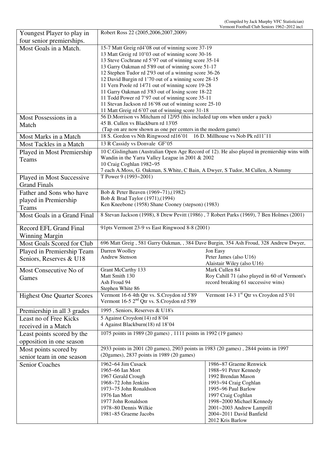| Youngest Player to play in                       | Robert Ross 22 (2005,2006,2007,2009)                                                                                            |                                                                                             |  |  |  |  |
|--------------------------------------------------|---------------------------------------------------------------------------------------------------------------------------------|---------------------------------------------------------------------------------------------|--|--|--|--|
| four senior premierships.                        |                                                                                                                                 |                                                                                             |  |  |  |  |
| Most Goals in a Match.                           | 15-7 Matt Greig rd4'08 out of winning score 37-19<br>13 Matt Greig rd 10'03 out of winning score 30-16                          |                                                                                             |  |  |  |  |
|                                                  | 13 Steve Cochrane rd 5'97 out of winning score 35-14                                                                            |                                                                                             |  |  |  |  |
|                                                  | 13 Garry Oakman rd 5'89 out of winning score 51-17<br>12 Stephen Tudor rd 2'93 out of a winning score 36-26                     |                                                                                             |  |  |  |  |
|                                                  | 12 David Burgin rd 1'70 out of a winning score 28-15                                                                            |                                                                                             |  |  |  |  |
|                                                  | 11 Vern Poole rd 14'71 out of winning score 19-28                                                                               |                                                                                             |  |  |  |  |
|                                                  | 11 Garry Oakman rd 3'83 out of losing score 18-22                                                                               |                                                                                             |  |  |  |  |
|                                                  | 11 Todd Power rd 7'97 out of winning score 35-11                                                                                |                                                                                             |  |  |  |  |
|                                                  | 11 Stevan Jackson rd 16'98 out of winning score 25-10                                                                           |                                                                                             |  |  |  |  |
| Most Possessions in a                            | 11 Matt Greig rd 6'07 out of winning score 31-18<br>56 D.Morrison vs Mitcham rd 12/95 (this included tap ons when under a pack) |                                                                                             |  |  |  |  |
| Match                                            | 45 B. Cullen vs Blackburn rd 13'05                                                                                              |                                                                                             |  |  |  |  |
|                                                  | (Tap on are now shown as one per centers in the modern game)                                                                    |                                                                                             |  |  |  |  |
| Most Marks in a Match                            | 18 S. Gordon vs Nth Ringwood rd16'01  16 D. Millhouse vs Nob Pk rd11'11                                                         |                                                                                             |  |  |  |  |
| Most Tackles in a Match                          | 13 R Cassidy vs Donvale GF'05                                                                                                   |                                                                                             |  |  |  |  |
| Played in Most Premiership                       |                                                                                                                                 | 10 C.Gislingham (Australian Open Age Record of 12). He also played in premiership wins with |  |  |  |  |
| Teams                                            | Wandin in the Yarra Valley League in 2001 & 2002                                                                                |                                                                                             |  |  |  |  |
|                                                  | 10 Craig Coghlan 1982~95                                                                                                        |                                                                                             |  |  |  |  |
|                                                  | 7 each A.Moss, G. Oakman, S.White, C Bain, A Dwyer, S Tudor, M Cullen, A Nummy<br>T Power 9 (1993~2001)                         |                                                                                             |  |  |  |  |
| Played in Most Successive<br><b>Grand Finals</b> |                                                                                                                                 |                                                                                             |  |  |  |  |
| Father and Sons who have                         | Bob & Peter Beaven (1969~71), (1982)                                                                                            |                                                                                             |  |  |  |  |
| played in Premiership                            | Bob & Brad Taylor (1971), (1994)                                                                                                |                                                                                             |  |  |  |  |
| Teams                                            | Ken Kneebone (1958) Shane Cooney (stepson) (1983)                                                                               |                                                                                             |  |  |  |  |
| Most Goals in a Grand Final                      | 8 Stevan Jackson (1998), 8 Drew Pevitt (1986), 7 Robert Parks (1969), 7 Ben Holmes (2001)                                       |                                                                                             |  |  |  |  |
| Record EFL Grand Final                           | 91pts Vermont 23-9 vs East Ringwood 8-8 (2001)                                                                                  |                                                                                             |  |  |  |  |
| <b>Winning Margin</b>                            |                                                                                                                                 |                                                                                             |  |  |  |  |
| Most Goals Scored for Club                       | 696 Matt Greig, 581 Garry Oakman, , 384 Dave Burgin, 354 Ash Froud, 328 Andrew Dwyer,                                           |                                                                                             |  |  |  |  |
| Played in Premiership Team                       | Darren Woolley<br><b>Andrew Stenson</b>                                                                                         | Jon Easy<br>Peter James (also U16)                                                          |  |  |  |  |
| Seniors, Reserves & U18                          |                                                                                                                                 | Alaistair Wiley (also U16)                                                                  |  |  |  |  |
| Most Consecutive No of                           | Grant McCarthy 133                                                                                                              | Mark Cullen 84                                                                              |  |  |  |  |
| Games                                            | Matt Smith 130                                                                                                                  | Roy Cahill 71 (also played in 60 of Vermont's                                               |  |  |  |  |
|                                                  | Ash Froud 94                                                                                                                    | record breaking 61 successive wins)                                                         |  |  |  |  |
|                                                  | Stephen White 86                                                                                                                |                                                                                             |  |  |  |  |
| <b>Highest One Quarter Scores</b>                | Vermont 16-6 4th Qtr vs. S. Croydon rd 5'89<br>Vermont 16-5 $2nd$ Qtr vs. S.Croydon rd 5'89                                     | Vermont 14-3 1 <sup>st</sup> Qtr vs Croydon rd 5'01                                         |  |  |  |  |
| Premiership in all 3 grades                      | 1995, Seniors, Reserves & U18's                                                                                                 |                                                                                             |  |  |  |  |
| Least no of Free Kicks                           | 5 Against Croydon(14) rd 8'04                                                                                                   |                                                                                             |  |  |  |  |
| received in a Match                              | 4 Against Blackburn(18) rd 18'04                                                                                                |                                                                                             |  |  |  |  |
| Least points scored by the                       | 1075 points in 1989 (20 games), 1111 points in 1992 (19 games)                                                                  |                                                                                             |  |  |  |  |
| opposition in one season                         |                                                                                                                                 |                                                                                             |  |  |  |  |
| Most points scored by                            | 2933 points in 2001 (20 games), 2903 points in 1983 (20 games), 2844 points in 1997                                             |                                                                                             |  |  |  |  |
| senior team in one season                        | (20 games), 2837 points in 1989 (20 games)                                                                                      |                                                                                             |  |  |  |  |
| <b>Senior Coaches</b>                            | 1962~64 Jim Cusack                                                                                                              | 1986~87 Graeme Renwick                                                                      |  |  |  |  |
|                                                  | 1965~66 Ian Mort                                                                                                                | 1988~91 Peter Kennedy                                                                       |  |  |  |  |
|                                                  | 1967 Gerald Crough                                                                                                              | 1992 Brendan Mason                                                                          |  |  |  |  |
|                                                  | 1968~72 John Jenkins                                                                                                            | 1993~94 Craig Coghlan                                                                       |  |  |  |  |
|                                                  | 1973~75 John Ronaldson<br>1976 Ian Mort                                                                                         | 1995~96 Paul Barlow<br>1997 Craig Coghlan                                                   |  |  |  |  |
|                                                  | 1977 John Ronaldson                                                                                                             | 1998~2000 Michael Kennedy                                                                   |  |  |  |  |
|                                                  | 1978~80 Dennis Wilkie                                                                                                           | 2001~2003 Andrew Lamprill                                                                   |  |  |  |  |
|                                                  | 1981~85 Graeme Jacobs                                                                                                           | 2004~2011 David Banfield                                                                    |  |  |  |  |
|                                                  |                                                                                                                                 | 2012 Kris Barlow                                                                            |  |  |  |  |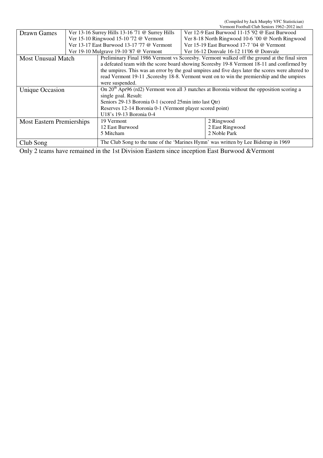(Compiled by Jack Murphy VFC Statistician) Vermont Football Club Seniors 1962~2012 incl.

|                                  |                                                                                     |                                                                                                       |                                                | $110111$ I colount Crub Schiols 1902 201                                                          |  |  |
|----------------------------------|-------------------------------------------------------------------------------------|-------------------------------------------------------------------------------------------------------|------------------------------------------------|---------------------------------------------------------------------------------------------------|--|--|
| Drawn Games                      |                                                                                     | Ver 13-16 Surrey Hills 13-16 '71 @ Surrey Hills                                                       | Ver 12-9 East Burwood 11-15 '92 @ East Burwood |                                                                                                   |  |  |
|                                  |                                                                                     | Ver 15-10 Ringwood 15-10 '72 @ Vermont                                                                |                                                | Ver 8-18 North Ringwood 10-6 '00 @ North Ringwood                                                 |  |  |
|                                  |                                                                                     | Ver 13-17 East Burwood 13-17 '77 @ Vermont                                                            |                                                | Ver 15-19 East Burwood 17-7 '04 @ Vermont                                                         |  |  |
|                                  |                                                                                     | Ver 19-10 Mulgrave 19-10 '87 @ Vermont                                                                |                                                | Ver 16-12 Donyale 16-12 11'06 @ Donyale                                                           |  |  |
| <b>Most Unusual Match</b>        |                                                                                     |                                                                                                       |                                                | Preliminary Final 1986 Vermont vs Scoresby. Vermont walked off the ground at the final siren      |  |  |
|                                  |                                                                                     |                                                                                                       |                                                | a defeated team with the score board showing Scoresby 19-8 Vermont 18-11 and confirmed by         |  |  |
|                                  |                                                                                     |                                                                                                       |                                                | the umpires. This was an error by the goal umpires and five days later the scores were altered to |  |  |
|                                  |                                                                                     |                                                                                                       |                                                | read Vermont 19-11 , Scoresby 18-8. Vermont went on to win the premiership and the umpires        |  |  |
|                                  |                                                                                     | were suspended.                                                                                       |                                                |                                                                                                   |  |  |
| Unique Occasion                  |                                                                                     | On $20^{\text{th}}$ Apr96 (rd2) Vermont won all 3 matches at Boronia without the opposition scoring a |                                                |                                                                                                   |  |  |
|                                  |                                                                                     | single goal. Result:                                                                                  |                                                |                                                                                                   |  |  |
|                                  |                                                                                     | Seniors 29-13 Boronia 0-1 (scored 25min into last Qtr)                                                |                                                |                                                                                                   |  |  |
|                                  |                                                                                     | Reserves 12-14 Boronia 0-1 (Vermont player scored point)                                              |                                                |                                                                                                   |  |  |
|                                  |                                                                                     | U18's 19-13 Boronia 0-4                                                                               |                                                |                                                                                                   |  |  |
| <b>Most Eastern Premierships</b> |                                                                                     | 19 Vermont                                                                                            |                                                | 2 Ringwood                                                                                        |  |  |
|                                  |                                                                                     | 12 East Burwood                                                                                       |                                                | 2 East Ringwood                                                                                   |  |  |
|                                  |                                                                                     | 5 Mitcham                                                                                             |                                                | 2 Noble Park                                                                                      |  |  |
| Club Song                        | The Club Song to the tune of the 'Marines Hymn' was written by Lee Bidstrup in 1969 |                                                                                                       |                                                |                                                                                                   |  |  |

Only 2 teams have remained in the 1st Division Eastern since inception East Burwood &Vermont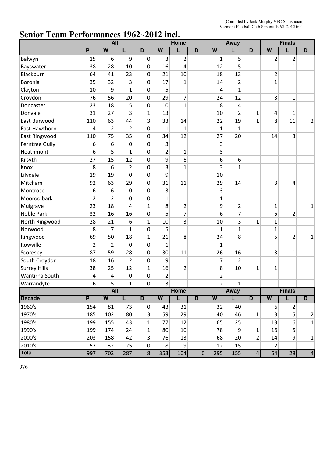# **Senior Team Performances 1962~2012 incl.**

|                     | <b>All</b>              |                |                | Home         |                |                | Away           |                         | <b>Finals</b>  |                |                |                |                |
|---------------------|-------------------------|----------------|----------------|--------------|----------------|----------------|----------------|-------------------------|----------------|----------------|----------------|----------------|----------------|
|                     | P                       | W              | L              | D            | W              | L              | D              | W                       | L              | D              | W              |                | D              |
| Balwyn              | 15                      | 6              | 9              | $\mathbf 0$  | 3              | $\overline{2}$ |                | $\mathbf{1}$            | 5              |                | $\overline{2}$ | $\overline{2}$ |                |
| Bayswater           | 38                      | 28             | 10             | 0            | 16             | 4              |                | 12                      | 5              |                |                | $\overline{1}$ |                |
| Blackburn           | 64                      | 41             | 23             | $\mathbf 0$  | 21             | 10             |                | 18                      | 13             |                | 2              |                |                |
| Boronia             | 35                      | 32             | 3              | $\mathbf 0$  | 17             | $\mathbf{1}$   |                | 14                      | $\overline{2}$ |                | $\mathbf{1}$   |                |                |
| Clayton             | 10                      | 9              | $\overline{1}$ | $\mathbf 0$  | 5              |                |                | 4                       | $\mathbf{1}$   |                |                |                |                |
| Croydon             | 76                      | 56             | 20             | $\mathbf 0$  | 29             | $\overline{7}$ |                | 24                      | 12             |                | 3              | $\mathbf{1}$   |                |
| Doncaster           | 23                      | 18             | 5              | $\mathbf 0$  | 10             | $\mathbf{1}$   |                | 8                       | 4              |                |                |                |                |
| Donvale             | 31                      | 27             | 3              | 1            | 13             |                |                | 10                      | $\overline{2}$ | 1              | 4              | $\mathbf{1}$   |                |
| East Burwood        | 110                     | 63             | 44             | 3            | 33             | 14             |                | 22                      | 19             | $\mathbf 1$    | 8              | 11             | $\overline{2}$ |
| East Hawthorn       | 4                       | $\overline{2}$ | $\overline{2}$ | 0            | $\mathbf{1}$   | 1              |                | $\mathbf{1}$            | 1              |                |                |                |                |
| East Ringwood       | 110                     | 75             | 35             | 0            | 34             | 12             |                | 27                      | 20             |                | 14             | 3              |                |
| Ferntree Gully      | 6                       | 6              | 0              | 0            | 3              |                |                | 3                       |                |                |                |                |                |
| Heathmont           | 6                       | 5              | $\mathbf{1}$   | 0            | $\overline{2}$ | $\mathbf{1}$   |                | 3                       |                |                |                |                |                |
| Kilsyth             | 27                      | 15             | 12             | 0            | 9              | 6              |                | 6                       | 6              |                |                |                |                |
| Knox                | 8                       | 6              | $\overline{2}$ | 0            | 3              | $\mathbf{1}$   |                | 3                       | $\mathbf{1}$   |                |                |                |                |
| Lilydale            | 19                      | 19             | 0              | 0            | 9              |                |                | 10                      |                |                |                |                |                |
| Mitcham             | 92                      | 63             | 29             | 0            | 31             | 11             |                | 29                      | 14             |                | 3              | 4              |                |
| Montrose            | 6                       | 6              | 0              | 0            | 3              |                |                | 3                       |                |                |                |                |                |
| Mooroolbark         | $\overline{\mathbf{c}}$ | $\overline{2}$ | 0              | 0            | $\mathbf{1}$   |                |                | $\mathbf 1$             |                |                |                |                |                |
| Mulgrave            | 23                      | 18             | 4              | $\mathbf{1}$ | 8              | $\overline{2}$ |                | 9                       | $\overline{2}$ |                | $\mathbf 1$    |                | 1              |
| Noble Park          | 32                      | 16             | 16             | 0            | 5              | 7              |                | 6                       | 7              |                | 5              | $\overline{2}$ |                |
| North Ringwood      | 28                      | 21             | 6              | $\mathbf{1}$ | 10             | 3              |                | 10                      | 3              | $\mathbf 1$    | $\mathbf{1}$   |                |                |
| Norwood             | 8                       | $\overline{7}$ | $\mathbf{1}$   | 0            | 5              |                |                | $\overline{1}$          | $\mathbf{1}$   |                | $\mathbf 1$    |                |                |
| Ringwood            | 69                      | 50             | 18             | 1            | 21             | 8              |                | 24                      | 8              |                | 5              | $\overline{2}$ | $\mathbf{1}$   |
| Rowville            | $\overline{2}$          | $\overline{2}$ | 0              | $\mathbf 0$  | $\mathbf{1}$   |                |                | $\overline{1}$          |                |                |                |                |                |
| Scoresby            | 87                      | 59             | 28             | $\mathbf 0$  | 30             | 11             |                | 26                      | 16             |                | 3              | $\mathbf 1$    |                |
| South Croydon       | 18                      | 16             | $\overline{2}$ | 0            | 9              |                |                | 7                       | $\overline{2}$ |                |                |                |                |
| <b>Surrey Hills</b> | 38                      | 25             | 12             | 1            | 16             | $\overline{2}$ |                | 8                       | 10             | $\mathbf 1$    | $\mathbf 1$    |                |                |
| Wantirna South      | 4                       | 4              | 0              | 0            | $\overline{2}$ |                |                | $\overline{\mathbf{c}}$ |                |                |                |                |                |
| Warrandyte          | $6 \mid$                | 5              | $\mathbf{1}$   | $\pmb{0}$    | 3              |                |                | $\overline{2}$          | $1\vert$       |                |                |                |                |
|                     |                         | All            |                |              |                | Home           |                |                         | Away           |                |                | <b>Finals</b>  |                |
| <b>Decade</b>       | P                       | W              | L              | D            | W              | Г              | D              | W                       | L.             | D              | W              | L              | D              |
| 1960's              | 154                     | 81             | 73             | $\mathbf 0$  | 43             | 31             |                | 32                      | 40             |                | 6              | $\overline{2}$ |                |
| 1970's              | 185                     | 102            | 80             | 3            | 59             | 29             |                | 40                      | 46             | 1              | 3              | 5              | $\overline{2}$ |
| 1980's              | 199                     | 155            | 43             | $\mathbf{1}$ | 77             | 12             |                | 65                      | 25             |                | 13             | 6              | $\mathbf 1$    |
| 1990's              | 199                     | 174            | 24             | $\mathbf{1}$ | 80             | 10             |                | 78                      | 9              | 1              | 16             | 5              |                |
| 2000's              | 203                     | 158            | 42             | 3            | 76             | 13             |                | 68                      | 20             | $\overline{2}$ | 14             | 9              | $\mathbf 1$    |
| 2010's              | 57                      | 32             | 25             | $\pmb{0}$    | 18             | 9              |                | 12                      | 15             |                | 2              | $\mathbf{1}$   |                |
| Total               | 997                     | 702            | 287            | $\bf 8$      | 353            | 104            | $\overline{0}$ | 295                     | 155            | $\sqrt{4}$     | 54             | 28             | $\overline{a}$ |

976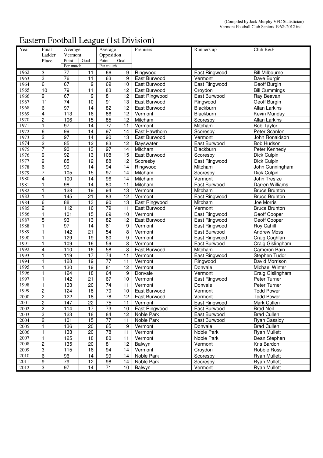# Eastern Football League (1st Division)

| Year | Final                   | Average           |                 | Average         |                  | Premiers      | Runners up    | Club B&F               |
|------|-------------------------|-------------------|-----------------|-----------------|------------------|---------------|---------------|------------------------|
|      | Ladder                  | Vermont           |                 | Opposition      |                  |               |               |                        |
|      | Place                   | Point             | Goal            | Point           | Goal             |               |               |                        |
|      |                         | Per match         |                 | Per match       |                  |               |               |                        |
| 1962 | 3                       | 77                | 11              | 66              | 9                | Ringwood      | East Ringwood | <b>Bill Milbourne</b>  |
| 1963 | 3                       | 76                | $\overline{11}$ | 63              | 9                | East Burwood  | Vermont       | Dave Burgin            |
| 1964 | 6                       | 67                | $\overline{9}$  | 69              | 10               | East Burwood  | East Ringwood | Geoff Burgin           |
| 1965 | 10                      | $\overline{79}$   | 11              | 83              | 12               | East Burwood  | Croydon       | <b>Bill Cummings</b>   |
| 1966 | 9                       | 67                | 9               | 81              | 12               | East Ringwood | East Burwood  | Ray Beavan             |
| 1967 | $\overline{11}$         | 74                | $\overline{10}$ | 91              | 13               | East Burwood  | Ringwood      | Geoff Burgin           |
| 1968 | 6                       | 97                | $\overline{14}$ | $\overline{82}$ | $\overline{12}$  | East Burwood  | Blackburn     | <b>Allan Larkins</b>   |
| 1969 | $\overline{\mathbf{4}}$ | $\frac{113}{1}$   | $\overline{16}$ | $\overline{86}$ | $\overline{12}$  | Vermont       | Blackburn     | Kevin Munday           |
| 1970 | $\overline{c}$          | 106               | $\overline{15}$ | 85              | $\overline{12}$  | Mitcham       | Scoresby      | <b>Allan Larkins</b>   |
| 1971 | $\mathbf{1}$            | $\overline{97}$   | $\overline{14}$ | $\overline{77}$ | 11               | Vermont       | Mitcham       | <b>Bob Taylor</b>      |
| 1972 | 6                       | 99                | $\overline{14}$ | $\overline{97}$ | 14               | East Hawthorn | Scoresby      | Peter Scanlon          |
| 1973 | $\overline{2}$          | 97                | $\overline{14}$ | $\overline{90}$ | $\overline{13}$  | East Burwood  | Vermont       | John Ronaldson         |
| 1974 | $\overline{c}$          | 85                | $\overline{12}$ | $\overline{83}$ | $\overline{12}$  | Bayswater     | East Burwood  | Bob Hudson             |
| 1975 | $\overline{7}$          | 90                | 13              | 97              | 14               | Mitcham       | Blackburn     | Peter Kennedy          |
| 1976 | 9                       | 92                | 13              | 108             | 15               | East Burwood  | Scoresby      | Dick Culpin            |
| 1977 | $\overline{9}$          | 85                | $\overline{12}$ | 88              | 12               | Scoresby      | East Ringwood | Dick Culpin            |
| 1978 | 6                       | 99                | 14              | 94              | $\overline{14}$  | Ringwood      | Mitcham       | John Cunningham        |
| 1979 | $\overline{7}$          | $\frac{105}{105}$ | 15              | 97              | 14               | Mitcham       | Scoresby      | Dick Culpin            |
| 1980 | $\overline{4}$          | 100               | $\overline{14}$ | $\overline{96}$ | 14               | Mitcham       | Vermont       | John Tresize           |
| 1981 | $\mathbf{1}$            | $\overline{98}$   | $\overline{14}$ | 80              | 11               | Mitcham       | East Burwood  | <b>Darren Williams</b> |
| 1982 | 1                       | 128               | $\overline{19}$ | $\overline{94}$ | $\overline{13}$  | Vermont       | Mitcham       | <b>Bruce Brunton</b>   |
|      |                         |                   |                 |                 |                  |               |               |                        |
| 1983 | $\mathbf{1}$            | 145               | $\overline{21}$ | $\overline{83}$ | $\overline{12}$  | Vermont       | East Ringwood | <b>Bruce Brunton</b>   |
| 1984 | 6                       | $\overline{88}$   | $\overline{13}$ | $\overline{90}$ | $\overline{13}$  | East Ringwood | Mitcham       | Joe Morris             |
| 1985 | $\overline{c}$          | 112               | $\overline{16}$ | $\overline{79}$ | $\overline{11}$  | East Burwood  | Vermont       | <b>Bruce Brunton</b>   |
| 1986 | $\mathbf{1}$            | 101               | $\overline{15}$ | 69              | 10               | Vermont       | East Ringwood | Geoff Cooper           |
| 1987 | 5                       | 93                | $\overline{13}$ | 82              | 12               | East Burwood  | East Ringwood | Geoff Cooper           |
| 1988 | $\mathbf{1}$            | 97                | $\overline{14}$ | 61              | $\boldsymbol{9}$ | Vermont       | East Ringwood | Roy Cahill             |
| 1989 | $\mathbf{1}$            | 142               | $\overline{21}$ | $\overline{54}$ | 8                | Vermont       | East Burwood  | <b>Andrew Moss</b>     |
| 1990 | $\mathbf{1}$            | 129               | $\overline{19}$ | 60              | 9                | Vermont       | East Ringwood | Craig Coghlan          |
| 1991 | $\mathbf{1}$            | 109               | $\overline{16}$ | 59              | $\, 8$           | Vermont       | East Burwood  | Craig Gislingham       |
| 1992 | 4                       | 110               | 16              | 58              | 8                | East Burwood  | Mitcham       | Cameron Bain           |
| 1993 | $\mathbf{1}$            | 119               | $\overline{17}$ | $\overline{74}$ | 11               | Vermont       | East Ringwood | Stephen Tudor          |
| 1994 | $\mathbf{1}$            | 128               | $\overline{19}$ | $\overline{77}$ | 11               | Vermont       | Ringwood      | <b>David Morrison</b>  |
| 1995 | $\mathbf{1}$            | 130               | $\overline{19}$ | $\overline{81}$ | $\overline{12}$  | Vermont       | Donvale       | <b>Michael Winter</b>  |
| 1996 | $\mathbf{1}$            | 124               | 18              | 64              | 9                | Donvale       | Vermont       | Craig Gislingham       |
| 1997 | $\mathbf{1}$            | 142               | $\overline{21}$ | 67              | 10               | Vermont       | East Ringwood | Peter Turner           |
| 1998 | $\mathbf{1}$            | 133               | $\overline{20}$ | $\overline{74}$ | 11               | Vermont       | Donvale       | Peter Turner           |
| 1999 | $\overline{2}$          | 124               | 18              | 70              | 10               | East Burwood  | Vermont       | <b>Todd Power</b>      |
| 2000 | $\overline{c}$          | 122               | 18              | 78              | 12               | East Burwood  | Vermont       | <b>Todd Power</b>      |
| 2001 | $\overline{2}$          | 147               | $\overline{22}$ | $\overline{75}$ | 11               | Vermont       | East Ringwood | Mark Cullen            |
| 2002 | $\overline{2}$          | 114               | 17              | 73              | 10               | East Ringwood | East Burwood  | <b>Brad Neil</b>       |
| 2003 | 3                       | 123               | $\overline{18}$ | 84              | 12               | Noble Park    | East Burwood  | <b>Brad Cullen</b>     |
| 2004 | $\boldsymbol{2}$        | 101               | $\overline{15}$ | $\overline{77}$ | 11               | Noble Park    | East Burwood  | Ryan Cassidy           |
| 2005 | $\overline{1}$          | 136               | $\overline{20}$ | 65              | 9                | Vermont       | Donvale       | <b>Brad Cullen</b>     |
| 2006 | $\mathbf{1}$            | $\overline{133}$  | $\overline{20}$ | 78              | 11               | Vermont       | Noble Park    | <b>Ryan Mullett</b>    |
| 2007 | $\mathbf{1}$            | 125               | 18              | 80              | 11               | Vermont       | Noble Park    | Dean Stephen           |
| 2008 | $\boldsymbol{2}$        | 135               | 20              | 81              | 12               | Balwyn        | Vermont       | Kris Bardon            |
| 2009 | $\,3$                   | 115               | 16              | 94              | 14               | Vermont       | Croydon       | Robbie Ross            |
| 2010 | $\overline{6}$          | 96                | 14              | 99              | 14               | Noble Park    | Scoresby      | <b>Ryan Mullett</b>    |
| 2011 | $\overline{9}$          | 79                | $\overline{12}$ | $\overline{98}$ | 14               | Noble Park    | Scoresby      | <b>Ryan Mullett</b>    |
| 2012 | $\overline{3}$          | 97                | 14              | 71              | 10               | Balwyn        | Vermont       | Ryan Mullett           |
|      |                         |                   |                 |                 |                  |               |               |                        |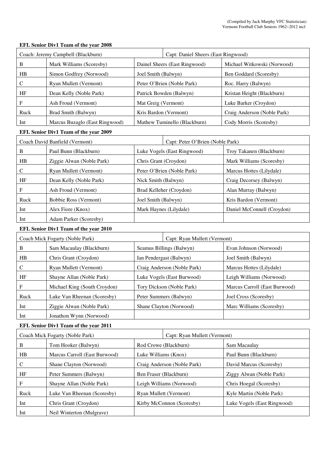## **EFL Senior Div1 Team of the year 2008**

|             | Coach: Jeremy Campbell (Blackburn) | Capt: Daniel Sheers (East Ringwood) |                             |
|-------------|------------------------------------|-------------------------------------|-----------------------------|
| В           | Mark Williams (Scoresby)           | Dainel Sheers (East Ringwood)       | Michael Witkowski (Norwood) |
| $_{\rm HB}$ | Simon Godfrey (Norwood)            | Joel Smith (Balwyn)                 | Ben Goddard (Scoresby)      |
|             | Ryan Mullett (Vermont)             | Peter O'Brien (Noble Park)          | Roc. Harry (Balwyn)         |
| HF          | Dean Kelly (Noble Park)            | Patrick Bowden (Balwyn)             | Kristan Height (Blackburn)  |
| F           | Ash Froud (Vermont)                | Mat Greig (Vermont)                 | Luke Barker (Croydon)       |
| Ruck        | Brad Smith (Balwyn)                | Kris Bardon (Vermont)               | Craig Anderson (Noble Park) |
| Int         | Marcus Buzaglo (East Ringwood)     | Mathew Tuminello (Blackburn)        | Cody Morris (Scoresby)      |

# **EFL Senior Div1 Team of the year 2009**

|      | Coach David Banfield (Vermont) |                            | Capt: Peter O'Brien (Noble Park) |                            |  |                          |
|------|--------------------------------|----------------------------|----------------------------------|----------------------------|--|--------------------------|
| В    | Paul Bunn (Blackburn)          |                            | Luke Vogels (East Ringwood)      | Troy Takanen (Blackburn)   |  |                          |
| HB   | Ziggie Alwan (Noble Park)      | Chris Grant (Croydon)      |                                  |                            |  | Mark Williams (Scoresby) |
|      | Ryan Mullett (Vermont)         | Peter O'Brien (Noble Park) |                                  | Marcus Hottes (Lilydale)   |  |                          |
| HF   | Dean Kelly (Noble Park)        | Nick Smith (Balwyn)        |                                  | Craig Decorsey (Balwyn)    |  |                          |
| F    | Ash Froud (Vermont)            |                            | Brad Kelleher (Croydon)          | Alan Murray (Balwyn)       |  |                          |
| Ruck | Bobbie Ross (Vermont)          | Joel Smith (Balwyn)        |                                  | Kris Bardon (Vermont)      |  |                          |
| Int  | Alex Fiore (Knox)              |                            | Mark Haynes (Lilydale)           | Daniel McConnell (Croydon) |  |                          |
| Int  | Adam Parker (Scoresby)         |                            |                                  |                            |  |                          |

### **EFL Senior Div1 Team of the year 2010**

|               | Coach Mick Fogarty (Noble Park) |                             | Capt: Ryan Mullett (Vermont) |                               |  |  |
|---------------|---------------------------------|-----------------------------|------------------------------|-------------------------------|--|--|
| B             | Sam Macaulay (Blackburn)        |                             | Seamus Billings (Balwyn)     | Evan Johnson (Norwood)        |  |  |
| HB            | Chris Grant (Croydon)           | Ian Pendergast (Balwyn)     |                              | Joel Smith (Balwyn)           |  |  |
| $\mathcal{C}$ | Ryan Mullett (Vermont)          | Craig Anderson (Noble Park) |                              | Marcus Hottes (Lilydale)      |  |  |
| HF            | Shayne Allan (Noble Park)       |                             | Luke Vogels (East Burwood)   | Leigh Williams (Norwood)      |  |  |
| $_{\rm F}$    | Michael King (South Croydon)    |                             | Tory Dickson (Noble Park)    | Marcus Carroll (East Burwood) |  |  |
| Ruck          | Luke Van Rheenan (Scoresby)     |                             | Peter Summers (Balwyn)       | Joel Cross (Scoresby)         |  |  |
| Int           | Ziggie Alwan (Noble Park)       |                             | Shane Clayton (Norwood)      | Marc Williams (Scoresby)      |  |  |
| Int           | Jonathon Wynn (Norwood)         |                             |                              |                               |  |  |

### **EFL Senior Div1 Team of the year 2011**

|               | Coach Mick Fogarty (Noble Park) |                             | Capt: Ryan Mullett (Vermont) |                             |  |
|---------------|---------------------------------|-----------------------------|------------------------------|-----------------------------|--|
| B             | Tom Hooker (Balwyn)             |                             | Rod Crowe (Blackburn)        | Sam Macaulay                |  |
| HB            | Marcus Carroll (East Burwood)   | Luke Williams (Knox)        |                              | Paul Bunn (Blackburn)       |  |
| $\mathcal{C}$ | Shane Clayton (Norwood)         | Craig Anderson (Noble Park) |                              | David Marcus (Scoresby)     |  |
| HF            | Peter Summers (Balwyn)          | Ben Fraser (Blackburn)      |                              | Ziggy Alwan (Noble Park)    |  |
| F             | Shayne Allan (Noble Park)       |                             | Leigh Williams (Norwood)     | Chris Hoegal (Scoresby)     |  |
| Ruck          | Luke Van Rheenan (Scoresby)     |                             | Ryan Mullett (Vermont)       | Kyle Martin (Noble Park)    |  |
| Int           | Chris Grant (Croydon)           |                             | Kirby McConnon (Scoresby)    | Luke Vogels (East Ringwood) |  |
| Int           | Neil Winterton (Mulgrave)       |                             |                              |                             |  |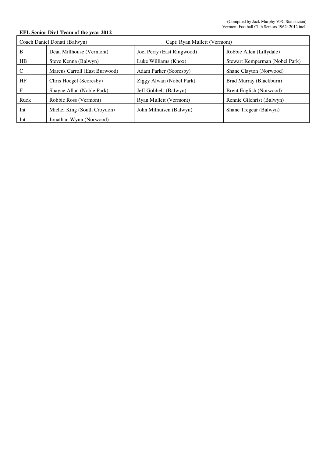#### **EFL Senior Div1 Team of the year 2012**

|               | Coach Daniel Donati (Balwyn)  |                        | Capt: Ryan Mullett (Vermont) |                                |
|---------------|-------------------------------|------------------------|------------------------------|--------------------------------|
| B             | Dean Millhouse (Vermont)      |                        | Joel Perry (East Ringwood)   | Robbie Allen (Lillydale)       |
| HB            | Steve Kenna (Balwyn)          | Luke Williams (Knox)   |                              | Stewart Kemperman (Nobel Park) |
| $\mathcal{C}$ | Marcus Carroll (East Burwood) | Adam Parker (Scoresby) |                              | Shane Clayton (Norwood)        |
| HF            | Chris Hoegel (Scoresby)       |                        | Ziggy Alwan (Nobel Park)     | Brad Murray (Blackburn)        |
| F             | Shayne Allan (Noble Park)     | Jeff Gobbels (Balwyn)  |                              | Brent English (Norwood)        |
| Ruck          | Robbie Ross (Vermont)         |                        | Ryan Mullett (Vermont)       | Rennie Gilchrist (Balwyn)      |
| Int           | Michel King (South Croydon)   |                        | John Milhuisen (Balwyn)      | Shane Tregear (Balwyn)         |
| Int           | Jonathan Wynn (Norwood)       |                        |                              |                                |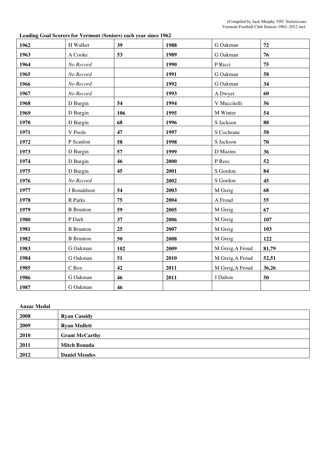| 1962 | H Walker         | 39  | 1988 | G Oakman         | 72     |
|------|------------------|-----|------|------------------|--------|
| 1963 | A Cooke          | 53  | 1989 | G Oakman         | 76     |
| 1964 | No Record        |     | 1990 | P Ricci          | 75     |
| 1965 | No Record        |     | 1991 | G Oakman         | 58     |
| 1966 | No Record        |     | 1992 | G Oakman         | 34     |
| 1967 | No Record        |     | 1993 | A Dwyer          | 60     |
| 1968 | D Burgin         | 54  | 1994 | V Muccitelli     | 56     |
| 1969 | D Burgin         | 106 | 1995 | M Winter         | 54     |
| 1970 | D Burgin         | 68  | 1996 | S Jackson        | 88     |
| 1971 | V Poole          | 47  | 1997 | S Cochrane       | 58     |
| 1972 | P Scanlon        | 58  | 1998 | S Jackson        | 70     |
| 1973 | D Burgin         | 57  | 1999 | D Mazins         | 36     |
| 1974 | D Burgin         | 46  | 2000 | P Rees           | 52     |
| 1975 | D Burgin         | 45  | 2001 | S Gordon         | 84     |
| 1976 | No Record        |     | 2002 | S Gordon         | 45     |
| 1977 | J Ronaldson      | 54  | 2003 | M Greig          | 68     |
| 1978 | R Parks          | 75  | 2004 | A Froud          | 55     |
| 1979 | <b>B</b> Brunton | 59  | 2005 | M Greig          | 67     |
| 1980 | P Dark           | 37  | 2006 | M Greig          | 107    |
| 1981 | <b>B</b> Brunton | 25  | 2007 | M Greig          | 103    |
| 1982 | <b>B</b> Brunton | 50  | 2008 | M Greig          | 122    |
| 1983 | G Oakman         | 102 | 2009 | M Greig, A Froud | 81,79  |
| 1984 | G Oakman         | 51  | 2010 | M Greig, A Froud | 52,51  |
| 1985 | C Box            | 42  | 2011 | M Greig, A Froud | 36,26  |
| 1986 | G Oakman         | 46  | 2011 | J Dalton         | $50\,$ |
| 1987 | G Oakman         | 46  |      |                  |        |

#### **Leading Goal Scorers for Vermont (Seniors) each year since 1962**

| <b>Anzac Medal</b> |                       |
|--------------------|-----------------------|
| 2008               | <b>Ryan Cassidy</b>   |
| 2009               | <b>Ryan Mullett</b>   |
| 2010               | <b>Grant McCarthy</b> |
| 2011               | <b>Mitch Bonuda</b>   |
| 2012               | <b>Daniel Mendes</b>  |